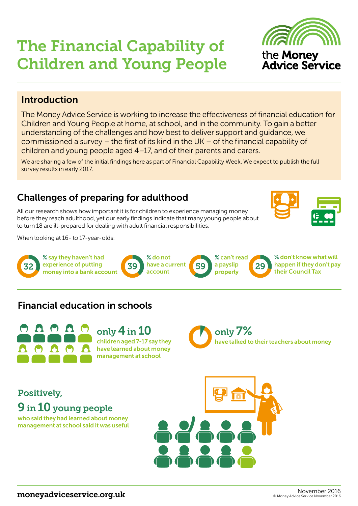9 in 10 young people

who said they had learned about money management at school said it was useful

Positively,

# The Financial Capability of Children and Young People

### Introduction

The Money Advice Service is working to increase the effectiveness of financial education for Children and Young People at home, at school, and in the community. To gain a better understanding of the challenges and how best to deliver support and guidance, we commissioned a survey – the first of its kind in the UK – of the financial capability of children and young people aged 4–17, and of their parents and carers.

We are sharing a few of the initial findings here as part of Financial Capability Week. We expect to publish the full survey results in early 2017.

### Challenges of preparing for adulthood

All our research shows how important it is for children to experience managing money before they reach adulthood, yet our early findings indicate that many young people about to turn 18 are ill-prepared for dealing with adult financial responsibilities.

When looking at 16- to 17-year-olds:



### Financial education in schools

only 4 in 10 children aged 7-17 say they have learned about money management at school